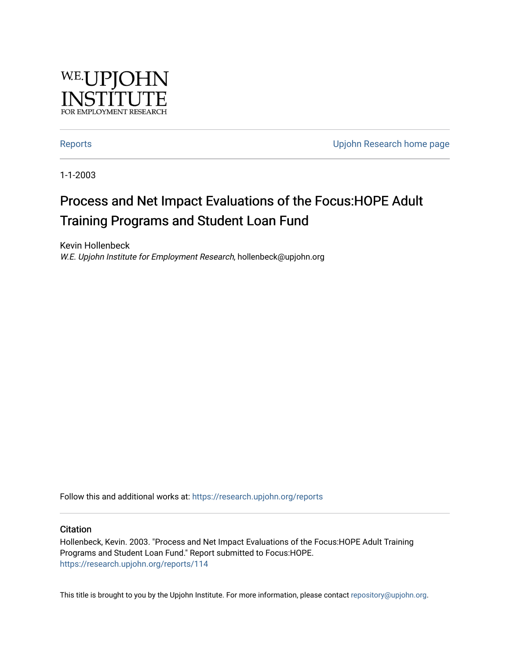

[Reports](https://research.upjohn.org/reports) **Example 20** Reports **CONFIDENTIAL RESEARCH HOME PAGE 2018** 

1-1-2003

# Process and Net Impact Evaluations of the Focus:HOPE Adult Training Programs and Student Loan Fund

Kevin Hollenbeck W.E. Upjohn Institute for Employment Research, hollenbeck@upjohn.org

Follow this and additional works at: [https://research.upjohn.org/reports](https://research.upjohn.org/reports?utm_source=research.upjohn.org%2Freports%2F114&utm_medium=PDF&utm_campaign=PDFCoverPages) 

#### **Citation**

Hollenbeck, Kevin. 2003. "Process and Net Impact Evaluations of the Focus:HOPE Adult Training Programs and Student Loan Fund." Report submitted to Focus:HOPE. <https://research.upjohn.org/reports/114>

This title is brought to you by the Upjohn Institute. For more information, please contact [repository@upjohn.org](mailto:repository@upjohn.org).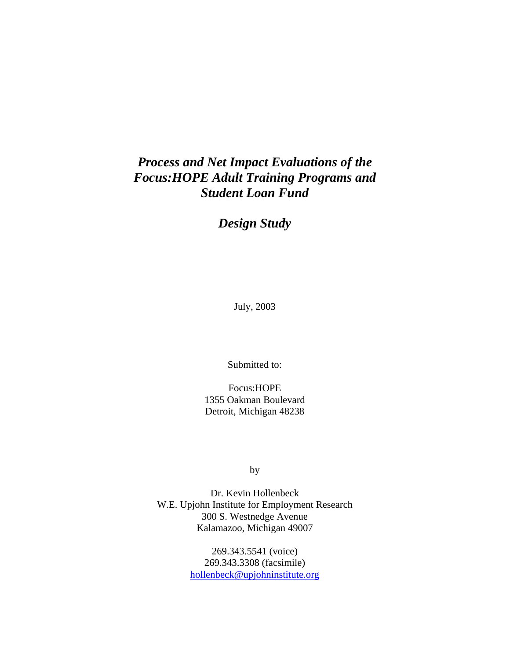# *Process and Net Impact Evaluations of the Focus:HOPE Adult Training Programs and Student Loan Fund*

*Design Study*

July, 2003

Submitted to:

Focus:HOPE 1355 Oakman Boulevard Detroit, Michigan 48238

by

Dr. Kevin Hollenbeck W.E. Upjohn Institute for Employment Research 300 S. Westnedge Avenue Kalamazoo, Michigan 49007

> 269.343.5541 (voice) 269.343.3308 (facsimile) hollenbeck@upjohninstitute.org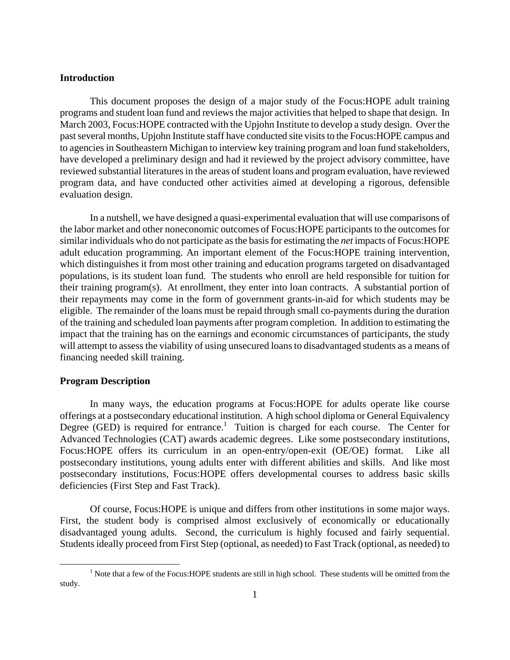### **Introduction**

This document proposes the design of a major study of the Focus:HOPE adult training programs and student loan fund and reviews the major activities that helped to shape that design. In March 2003, Focus:HOPE contracted with the Upjohn Institute to develop a study design. Over the past several months, Upjohn Institute staff have conducted site visits to the Focus:HOPE campus and to agencies in Southeastern Michigan to interview key training program and loan fund stakeholders, have developed a preliminary design and had it reviewed by the project advisory committee, have reviewed substantial literatures in the areas of student loans and program evaluation, have reviewed program data, and have conducted other activities aimed at developing a rigorous, defensible evaluation design.

In a nutshell, we have designed a quasi-experimental evaluation that will use comparisons of the labor market and other noneconomic outcomes of Focus:HOPE participants to the outcomes for similar individuals who do not participate as the basis for estimating the *net* impacts of Focus:HOPE adult education programming. An important element of the Focus:HOPE training intervention, which distinguishes it from most other training and education programs targeted on disadvantaged populations, is its student loan fund. The students who enroll are held responsible for tuition for their training program(s). At enrollment, they enter into loan contracts. A substantial portion of their repayments may come in the form of government grants-in-aid for which students may be eligible. The remainder of the loans must be repaid through small co-payments during the duration of the training and scheduled loan payments after program completion. In addition to estimating the impact that the training has on the earnings and economic circumstances of participants, the study will attempt to assess the viability of using unsecured loans to disadvantaged students as a means of financing needed skill training.

#### **Program Description**

In many ways, the education programs at Focus:HOPE for adults operate like course offerings at a postsecondary educational institution. A high school diploma or General Equivalency Degree (GED) is required for entrance.<sup>1</sup> Tuition is charged for each course. The Center for Advanced Technologies (CAT) awards academic degrees. Like some postsecondary institutions, Focus:HOPE offers its curriculum in an open-entry/open-exit (OE/OE) format. Like all postsecondary institutions, young adults enter with different abilities and skills. And like most postsecondary institutions, Focus:HOPE offers developmental courses to address basic skills deficiencies (First Step and Fast Track).

Of course, Focus:HOPE is unique and differs from other institutions in some major ways. First, the student body is comprised almost exclusively of economically or educationally disadvantaged young adults. Second, the curriculum is highly focused and fairly sequential. Students ideally proceed from First Step (optional, as needed) to Fast Track (optional, as needed) to

 $\begin{array}{c|c}\n\hline\n\end{array}$ <sup>1</sup> Note that a few of the Focus: HOPE students are still in high school. These students will be omitted from the study.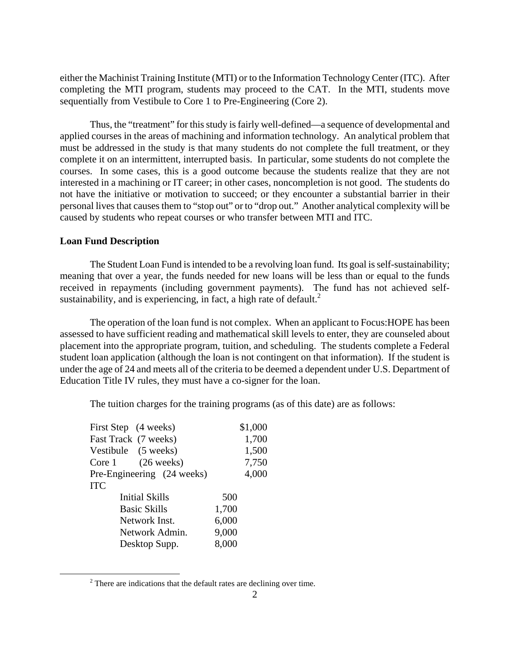either the Machinist Training Institute (MTI) or to the Information Technology Center (ITC). After completing the MTI program, students may proceed to the CAT. In the MTI, students move sequentially from Vestibule to Core 1 to Pre-Engineering (Core 2).

Thus, the "treatment" for this study is fairly well-defined—a sequence of developmental and applied courses in the areas of machining and information technology. An analytical problem that must be addressed in the study is that many students do not complete the full treatment, or they complete it on an intermittent, interrupted basis. In particular, some students do not complete the courses. In some cases, this is a good outcome because the students realize that they are not interested in a machining or IT career; in other cases, noncompletion is not good. The students do not have the initiative or motivation to succeed; or they encounter a substantial barrier in their personal lives that causes them to "stop out" or to "drop out." Another analytical complexity will be caused by students who repeat courses or who transfer between MTI and ITC.

#### **Loan Fund Description**

The Student Loan Fund is intended to be a revolving loan fund. Its goal is self-sustainability; meaning that over a year, the funds needed for new loans will be less than or equal to the funds received in repayments (including government payments). The fund has not achieved selfsustainability, and is experiencing, in fact, a high rate of default. $2$ 

 The operation of the loan fund is not complex. When an applicant to Focus:HOPE has been assessed to have sufficient reading and mathematical skill levels to enter, they are counseled about placement into the appropriate program, tuition, and scheduling. The students complete a Federal student loan application (although the loan is not contingent on that information). If the student is under the age of 24 and meets all of the criteria to be deemed a dependent under U.S. Department of Education Title IV rules, they must have a co-signer for the loan.

The tuition charges for the training programs (as of this date) are as follows:

| First Step (4 weeks)                      | \$1,000 |
|-------------------------------------------|---------|
| Fast Track (7 weeks)                      | 1,700   |
| Vestibule (5 weeks)                       | 1,500   |
| $(26 \text{ weeks})$<br>Core <sub>1</sub> | 7,750   |
| Pre-Engineering (24 weeks)                | 4,000   |
| <b>ITC</b>                                |         |
| <b>Initial Skills</b>                     | 500     |
| <b>Basic Skills</b>                       | 1,700   |
| Network Inst.                             | 6,000   |
| Network Admin.                            | 9,000   |
| Desktop Supp.                             | 8,000   |
|                                           |         |

 $\frac{1}{2}$  $2$  There are indications that the default rates are declining over time.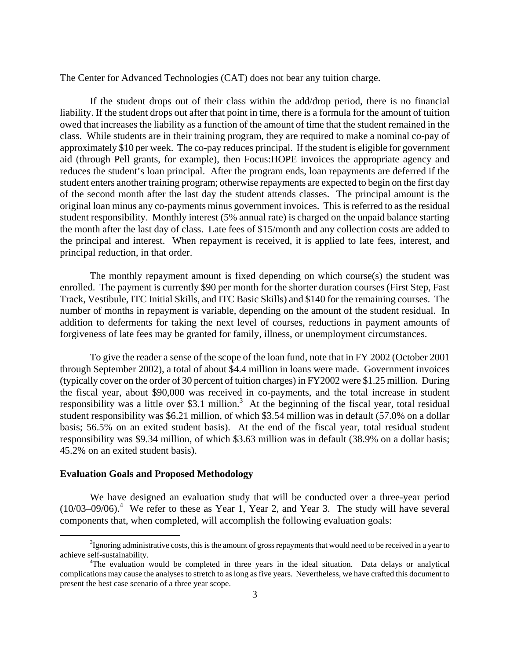The Center for Advanced Technologies (CAT) does not bear any tuition charge.

 If the student drops out of their class within the add/drop period, there is no financial liability. If the student drops out after that point in time, there is a formula for the amount of tuition owed that increases the liability as a function of the amount of time that the student remained in the class. While students are in their training program, they are required to make a nominal co-pay of approximately \$10 per week. The co-pay reduces principal. If the student is eligible for government aid (through Pell grants, for example), then Focus:HOPE invoices the appropriate agency and reduces the student's loan principal. After the program ends, loan repayments are deferred if the student enters another training program; otherwise repayments are expected to begin on the first day of the second month after the last day the student attends classes. The principal amount is the original loan minus any co-payments minus government invoices. This is referred to as the residual student responsibility. Monthly interest (5% annual rate) is charged on the unpaid balance starting the month after the last day of class. Late fees of \$15/month and any collection costs are added to the principal and interest. When repayment is received, it is applied to late fees, interest, and principal reduction, in that order.

 The monthly repayment amount is fixed depending on which course(s) the student was enrolled. The payment is currently \$90 per month for the shorter duration courses (First Step, Fast Track, Vestibule, ITC Initial Skills, and ITC Basic Skills) and \$140 for the remaining courses. The number of months in repayment is variable, depending on the amount of the student residual. In addition to deferments for taking the next level of courses, reductions in payment amounts of forgiveness of late fees may be granted for family, illness, or unemployment circumstances.

 To give the reader a sense of the scope of the loan fund, note that in FY 2002 (October 2001 through September 2002), a total of about \$4.4 million in loans were made. Government invoices (typically cover on the order of 30 percent of tuition charges) in FY2002 were \$1.25 million. During the fiscal year, about \$90,000 was received in co-payments, and the total increase in student responsibility was a little over \$3.1 million.<sup>3</sup> At the beginning of the fiscal year, total residual student responsibility was \$6.21 million, of which \$3.54 million was in default (57.0% on a dollar basis; 56.5% on an exited student basis). At the end of the fiscal year, total residual student responsibility was \$9.34 million, of which \$3.63 million was in default (38.9% on a dollar basis; 45.2% on an exited student basis).

#### **Evaluation Goals and Proposed Methodology**

We have designed an evaluation study that will be conducted over a three-year period  $(10/03-09/06).$ <sup>4</sup> We refer to these as Year 1, Year 2, and Year 3. The study will have several components that, when completed, will accomplish the following evaluation goals:

 <sup>3</sup>  ${}^{3}$ Ignoring administrative costs, this is the amount of gross repayments that would need to be received in a year to achieve self-sustainability. 4

<sup>&</sup>lt;sup>4</sup>The evaluation would be completed in three years in the ideal situation. Data delays or analytical complications may cause the analyses to stretch to as long as five years. Nevertheless, we have crafted this document to present the best case scenario of a three year scope.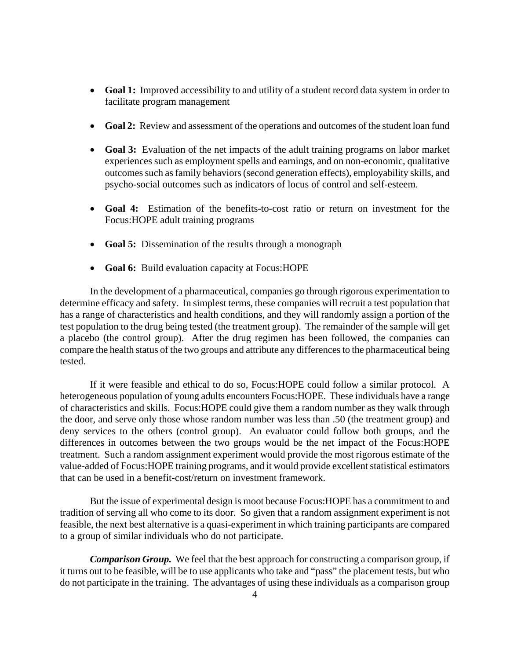- **Goal 1:** Improved accessibility to and utility of a student record data system in order to facilitate program management
- **Goal 2:** Review and assessment of the operations and outcomes of the student loan fund
- **Goal 3:** Evaluation of the net impacts of the adult training programs on labor market experiences such as employment spells and earnings, and on non-economic, qualitative outcomes such as family behaviors (second generation effects), employability skills, and psycho-social outcomes such as indicators of locus of control and self-esteem.
- **Goal 4:** Estimation of the benefits-to-cost ratio or return on investment for the Focus:HOPE adult training programs
- **Goal 5:** Dissemination of the results through a monograph
- **Goal 6:** Build evaluation capacity at Focus:HOPE

In the development of a pharmaceutical, companies go through rigorous experimentation to determine efficacy and safety. In simplest terms, these companies will recruit a test population that has a range of characteristics and health conditions, and they will randomly assign a portion of the test population to the drug being tested (the treatment group). The remainder of the sample will get a placebo (the control group). After the drug regimen has been followed, the companies can compare the health status of the two groups and attribute any differences to the pharmaceutical being tested.

If it were feasible and ethical to do so, Focus:HOPE could follow a similar protocol. A heterogeneous population of young adults encounters Focus:HOPE. These individuals have a range of characteristics and skills. Focus:HOPE could give them a random number as they walk through the door, and serve only those whose random number was less than .50 (the treatment group) and deny services to the others (control group). An evaluator could follow both groups, and the differences in outcomes between the two groups would be the net impact of the Focus:HOPE treatment. Such a random assignment experiment would provide the most rigorous estimate of the value-added of Focus:HOPE training programs, and it would provide excellent statistical estimators that can be used in a benefit-cost/return on investment framework.

But the issue of experimental design is moot because Focus:HOPE has a commitment to and tradition of serving all who come to its door. So given that a random assignment experiment is not feasible, the next best alternative is a quasi-experiment in which training participants are compared to a group of similar individuals who do not participate.

*Comparison Group.* We feel that the best approach for constructing a comparison group, if it turns out to be feasible, will be to use applicants who take and "pass" the placement tests, but who do not participate in the training. The advantages of using these individuals as a comparison group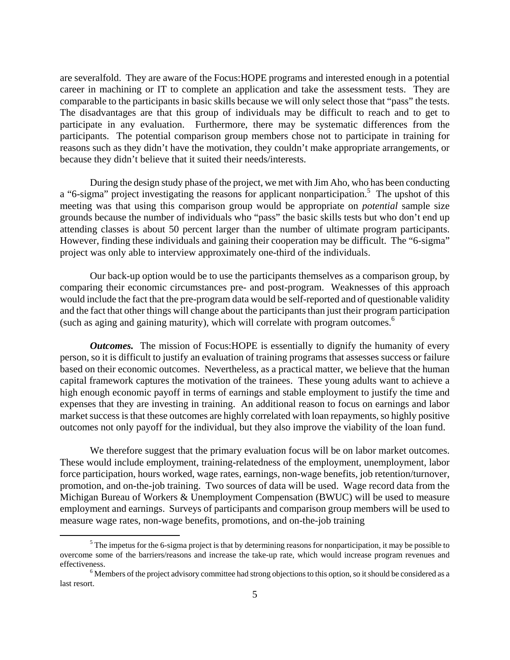are severalfold. They are aware of the Focus:HOPE programs and interested enough in a potential career in machining or IT to complete an application and take the assessment tests. They are comparable to the participants in basic skills because we will only select those that "pass" the tests. The disadvantages are that this group of individuals may be difficult to reach and to get to participate in any evaluation. Furthermore, there may be systematic differences from the participants. The potential comparison group members chose not to participate in training for reasons such as they didn't have the motivation, they couldn't make appropriate arrangements, or because they didn't believe that it suited their needs/interests.

During the design study phase of the project, we met with Jim Aho, who has been conducting a "6-sigma" project investigating the reasons for applicant nonparticipation.<sup>5</sup> The upshot of this meeting was that using this comparison group would be appropriate on *potential* sample size grounds because the number of individuals who "pass" the basic skills tests but who don't end up attending classes is about 50 percent larger than the number of ultimate program participants. However, finding these individuals and gaining their cooperation may be difficult. The "6-sigma" project was only able to interview approximately one-third of the individuals.

Our back-up option would be to use the participants themselves as a comparison group, by comparing their economic circumstances pre- and post-program. Weaknesses of this approach would include the fact that the pre-program data would be self-reported and of questionable validity and the fact that other things will change about the participants than just their program participation (such as aging and gaining maturity), which will correlate with program outcomes.<sup>6</sup>

*Outcomes.* The mission of Focus: HOPE is essentially to dignify the humanity of every person, so it is difficult to justify an evaluation of training programs that assesses success or failure based on their economic outcomes. Nevertheless, as a practical matter, we believe that the human capital framework captures the motivation of the trainees. These young adults want to achieve a high enough economic payoff in terms of earnings and stable employment to justify the time and expenses that they are investing in training. An additional reason to focus on earnings and labor market success is that these outcomes are highly correlated with loan repayments, so highly positive outcomes not only payoff for the individual, but they also improve the viability of the loan fund.

We therefore suggest that the primary evaluation focus will be on labor market outcomes. These would include employment, training-relatedness of the employment, unemployment, labor force participation, hours worked, wage rates, earnings, non-wage benefits, job retention/turnover, promotion, and on-the-job training. Two sources of data will be used. Wage record data from the Michigan Bureau of Workers & Unemployment Compensation (BWUC) will be used to measure employment and earnings. Surveys of participants and comparison group members will be used to measure wage rates, non-wage benefits, promotions, and on-the-job training

 $\frac{1}{5}$  $<sup>5</sup>$  The impetus for the 6-sigma project is that by determining reasons for nonparticipation, it may be possible to</sup> overcome some of the barriers/reasons and increase the take-up rate, which would increase program revenues and effectiveness.

<sup>&</sup>lt;sup>6</sup> Members of the project advisory committee had strong objections to this option, so it should be considered as a last resort.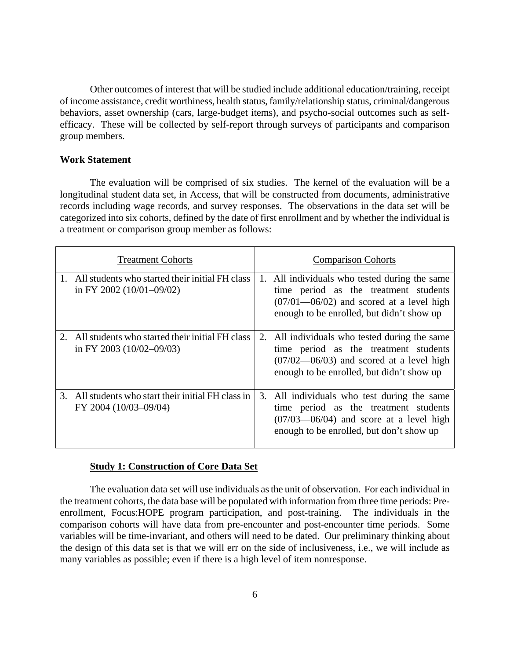Other outcomes of interest that will be studied include additional education/training, receipt of income assistance, credit worthiness, health status, family/relationship status, criminal/dangerous behaviors, asset ownership (cars, large-budget items), and psycho-social outcomes such as selfefficacy. These will be collected by self-report through surveys of participants and comparison group members.

#### **Work Statement**

The evaluation will be comprised of six studies. The kernel of the evaluation will be a longitudinal student data set, in Access, that will be constructed from documents, administrative records including wage records, and survey responses. The observations in the data set will be categorized into six cohorts, defined by the date of first enrollment and by whether the individual is a treatment or comparison group member as follows:

| <b>Treatment Cohorts</b>                                                           | <b>Comparison Cohorts</b>                                                                                                                                                           |
|------------------------------------------------------------------------------------|-------------------------------------------------------------------------------------------------------------------------------------------------------------------------------------|
| 1. All students who started their initial FH class<br>in FY 2002 $(10/01 - 09/02)$ | 1. All individuals who tested during the same<br>time period as the treatment students<br>$(07/01 - 06/02)$ and scored at a level high<br>enough to be enrolled, but didn't show up |
| 2. All students who started their initial FH class<br>in FY 2003 $(10/02 - 09/03)$ | 2. All individuals who tested during the same<br>time period as the treatment students<br>$(07/02 - 06/03)$ and scored at a level high<br>enough to be enrolled, but didn't show up |
| 3. All students who start their initial FH class in<br>FY 2004 (10/03-09/04)       | 3. All individuals who test during the same<br>time period as the treatment students<br>$(07/03 - 06/04)$ and score at a level high<br>enough to be enrolled, but don't show up     |

#### **Study 1: Construction of Core Data Set**

The evaluation data set will use individuals as the unit of observation. For each individual in the treatment cohorts, the data base will be populated with information from three time periods: Preenrollment, Focus:HOPE program participation, and post-training. The individuals in the comparison cohorts will have data from pre-encounter and post-encounter time periods. Some variables will be time-invariant, and others will need to be dated. Our preliminary thinking about the design of this data set is that we will err on the side of inclusiveness, i.e., we will include as many variables as possible; even if there is a high level of item nonresponse.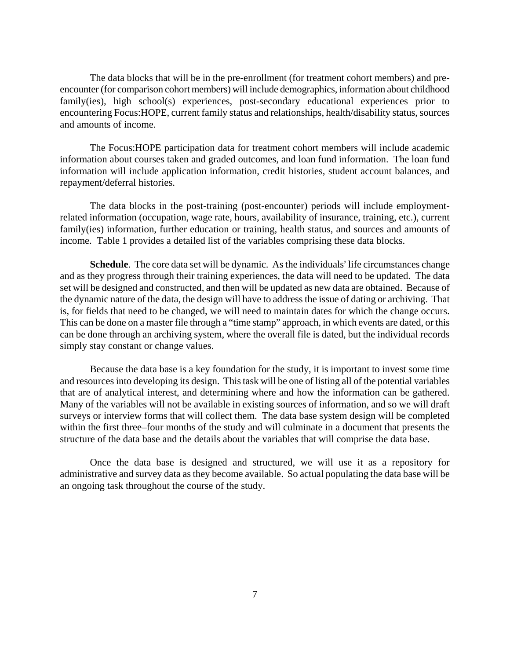The data blocks that will be in the pre-enrollment (for treatment cohort members) and preencounter (for comparison cohort members) will include demographics, information about childhood family(ies), high school(s) experiences, post-secondary educational experiences prior to encountering Focus:HOPE, current family status and relationships, health/disability status, sources and amounts of income.

The Focus:HOPE participation data for treatment cohort members will include academic information about courses taken and graded outcomes, and loan fund information. The loan fund information will include application information, credit histories, student account balances, and repayment/deferral histories.

The data blocks in the post-training (post-encounter) periods will include employmentrelated information (occupation, wage rate, hours, availability of insurance, training, etc.), current family(ies) information, further education or training, health status, and sources and amounts of income. Table 1 provides a detailed list of the variables comprising these data blocks.

**Schedule**. The core data set will be dynamic. As the individuals' life circumstances change and as they progress through their training experiences, the data will need to be updated. The data set will be designed and constructed, and then will be updated as new data are obtained. Because of the dynamic nature of the data, the design will have to address the issue of dating or archiving. That is, for fields that need to be changed, we will need to maintain dates for which the change occurs. This can be done on a master file through a "time stamp" approach, in which events are dated, or this can be done through an archiving system, where the overall file is dated, but the individual records simply stay constant or change values.

Because the data base is a key foundation for the study, it is important to invest some time and resources into developing its design. This task will be one of listing all of the potential variables that are of analytical interest, and determining where and how the information can be gathered. Many of the variables will not be available in existing sources of information, and so we will draft surveys or interview forms that will collect them. The data base system design will be completed within the first three–four months of the study and will culminate in a document that presents the structure of the data base and the details about the variables that will comprise the data base.

Once the data base is designed and structured, we will use it as a repository for administrative and survey data as they become available. So actual populating the data base will be an ongoing task throughout the course of the study.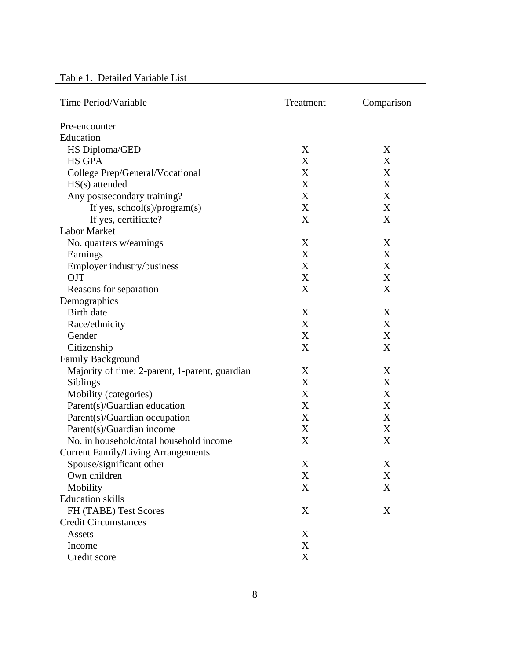| Table 1. Detailed Variable List |  |  |  |
|---------------------------------|--|--|--|
|---------------------------------|--|--|--|

| <b>Time Period/Variable</b>                    | Treatment | Comparison  |
|------------------------------------------------|-----------|-------------|
| Pre-encounter                                  |           |             |
| Education                                      |           |             |
| HS Diploma/GED                                 | X         | X           |
| <b>HS GPA</b>                                  | X         | X           |
| College Prep/General/Vocational                | X         | X           |
| HS(s) attended                                 | X         | X           |
| Any postsecondary training?                    | X         | X           |
| If yes, $school(s)/program(s)$                 | X         | X           |
| If yes, certificate?                           | X         | X           |
| <b>Labor Market</b>                            |           |             |
| No. quarters w/earnings                        | X         | X           |
| Earnings                                       | X         | X           |
| Employer industry/business                     | X         | X           |
| <b>OJT</b>                                     | X         | X           |
| Reasons for separation                         | X         | X           |
| Demographics                                   |           |             |
| <b>Birth</b> date                              | X         | X           |
| Race/ethnicity                                 | X         | X           |
| Gender                                         | X         | X           |
| Citizenship                                    | X         | X           |
| <b>Family Background</b>                       |           |             |
| Majority of time: 2-parent, 1-parent, guardian | X         | X           |
| Siblings                                       | X         | X           |
| Mobility (categories)                          | X         | X           |
| Parent(s)/Guardian education                   | X         | X           |
| Parent(s)/Guardian occupation                  | X         | X           |
| Parent(s)/Guardian income                      | X         | X           |
| No. in household/total household income        | X         | X           |
| <b>Current Family/Living Arrangements</b>      |           |             |
| Spouse/significant other                       | X         | $\mathbf X$ |
| Own children                                   | X         | X           |
| Mobility                                       | X         | X           |
| <b>Education</b> skills                        |           |             |
| FH (TABE) Test Scores                          | X         | X           |
| <b>Credit Circumstances</b>                    |           |             |
| Assets                                         | X         |             |
| Income                                         | X         |             |
| Credit score                                   | X         |             |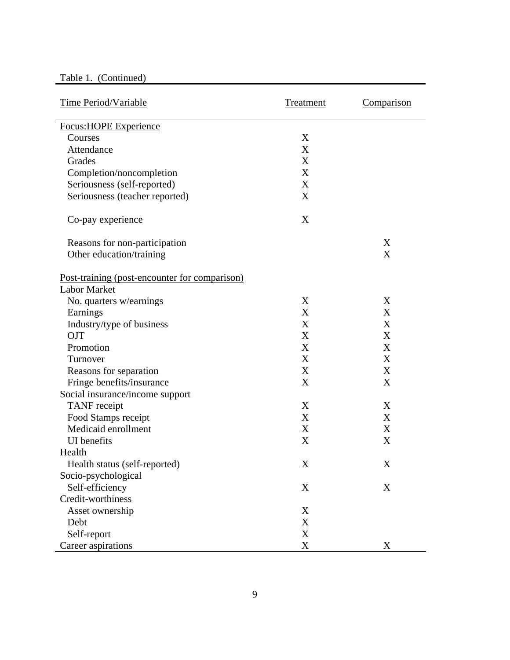# Table 1. (Continued)

| Time Period/Variable                          | Treatment | Comparison |
|-----------------------------------------------|-----------|------------|
| <b>Focus:HOPE Experience</b>                  |           |            |
| Courses                                       | X         |            |
| Attendance                                    | X         |            |
| Grades                                        | X         |            |
| Completion/noncompletion                      | X         |            |
| Seriousness (self-reported)                   | X         |            |
| Seriousness (teacher reported)                | X         |            |
| Co-pay experience                             | X         |            |
| Reasons for non-participation                 |           | X          |
| Other education/training                      |           | X          |
| Post-training (post-encounter for comparison) |           |            |
| <b>Labor Market</b>                           |           |            |
| No. quarters w/earnings                       | X         | X          |
| Earnings                                      | X         | X          |
| Industry/type of business                     | X         | X          |
| <b>OJT</b>                                    | X         | X          |
| Promotion                                     | X         | X          |
| Turnover                                      | X         | X          |
| Reasons for separation                        | X         | X          |
| Fringe benefits/insurance                     | X         | X          |
| Social insurance/income support               |           |            |
| <b>TANF</b> receipt                           | X         | X          |
| Food Stamps receipt                           | X         | X          |
| Medicaid enrollment                           | X         | X          |
| <b>UI</b> benefits                            | X         | X          |
| Health                                        |           |            |
| Health status (self-reported)                 | X         | X          |
| Socio-psychological                           |           |            |
| Self-efficiency                               | X         | X          |
| Credit-worthiness                             |           |            |
| Asset ownership                               | X         |            |
| Debt                                          | X         |            |
| Self-report                                   | X         |            |
| Career aspirations                            | X         | X          |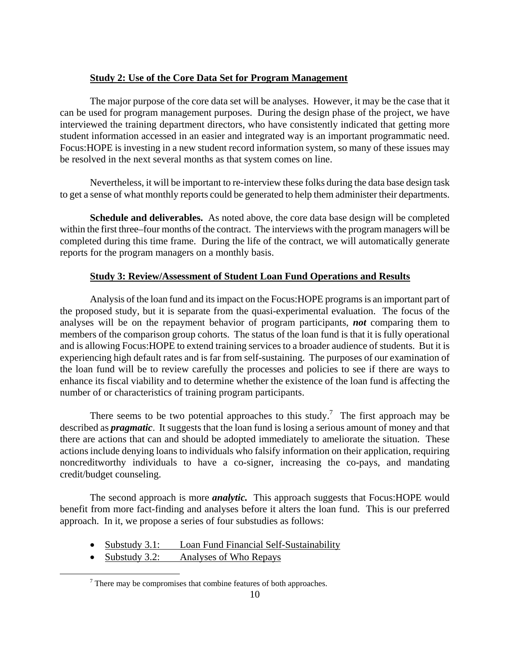# **Study 2: Use of the Core Data Set for Program Management**

The major purpose of the core data set will be analyses. However, it may be the case that it can be used for program management purposes. During the design phase of the project, we have interviewed the training department directors, who have consistently indicated that getting more student information accessed in an easier and integrated way is an important programmatic need. Focus:HOPE is investing in a new student record information system, so many of these issues may be resolved in the next several months as that system comes on line.

Nevertheless, it will be important to re-interview these folks during the data base design task to get a sense of what monthly reports could be generated to help them administer their departments.

**Schedule and deliverables.** As noted above, the core data base design will be completed within the first three–four months of the contract. The interviews with the program managers will be completed during this time frame. During the life of the contract, we will automatically generate reports for the program managers on a monthly basis.

# **Study 3: Review/Assessment of Student Loan Fund Operations and Results**

Analysis of the loan fund and its impact on the Focus:HOPE programs is an important part of the proposed study, but it is separate from the quasi-experimental evaluation. The focus of the analyses will be on the repayment behavior of program participants, *not* comparing them to members of the comparison group cohorts. The status of the loan fund is that it is fully operational and is allowing Focus:HOPE to extend training services to a broader audience of students. But it is experiencing high default rates and is far from self-sustaining. The purposes of our examination of the loan fund will be to review carefully the processes and policies to see if there are ways to enhance its fiscal viability and to determine whether the existence of the loan fund is affecting the number of or characteristics of training program participants.

There seems to be two potential approaches to this study.<sup>7</sup> The first approach may be described as *pragmatic*. It suggests that the loan fund is losing a serious amount of money and that there are actions that can and should be adopted immediately to ameliorate the situation. These actions include denying loans to individuals who falsify information on their application, requiring noncreditworthy individuals to have a co-signer, increasing the co-pays, and mandating credit/budget counseling.

The second approach is more *analytic.* This approach suggests that Focus:HOPE would benefit from more fact-finding and analyses before it alters the loan fund. This is our preferred approach. In it, we propose a series of four substudies as follows:

- Substudy 3.1: Loan Fund Financial Self-Sustainability
- Substudy 3.2: Analyses of Who Repays

 <sup>7</sup>  $\frac{7}{7}$  There may be compromises that combine features of both approaches.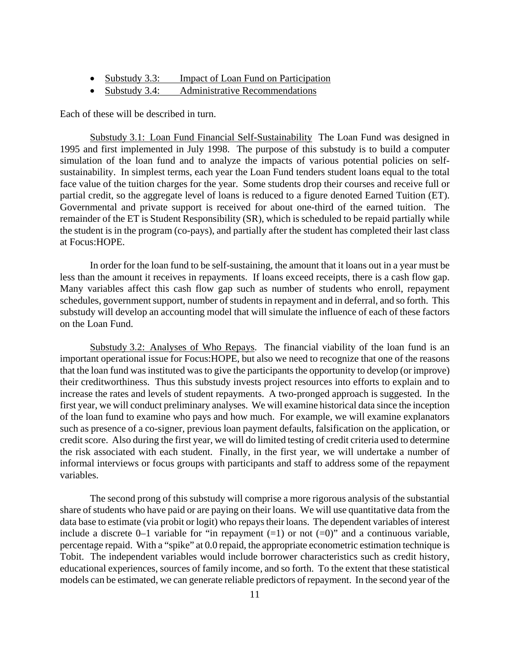- Substudy 3.3: Impact of Loan Fund on Participation
- Substudy 3.4: Administrative Recommendations

Each of these will be described in turn.

 Substudy 3.1: Loan Fund Financial Self-Sustainability The Loan Fund was designed in 1995 and first implemented in July 1998. The purpose of this substudy is to build a computer simulation of the loan fund and to analyze the impacts of various potential policies on selfsustainability. In simplest terms, each year the Loan Fund tenders student loans equal to the total face value of the tuition charges for the year. Some students drop their courses and receive full or partial credit, so the aggregate level of loans is reduced to a figure denoted Earned Tuition (ET). Governmental and private support is received for about one-third of the earned tuition. The remainder of the ET is Student Responsibility (SR), which is scheduled to be repaid partially while the student is in the program (co-pays), and partially after the student has completed their last class at Focus:HOPE.

 In order for the loan fund to be self-sustaining, the amount that it loans out in a year must be less than the amount it receives in repayments. If loans exceed receipts, there is a cash flow gap. Many variables affect this cash flow gap such as number of students who enroll, repayment schedules, government support, number of students in repayment and in deferral, and so forth. This substudy will develop an accounting model that will simulate the influence of each of these factors on the Loan Fund.

Substudy 3.2: Analyses of Who Repays. The financial viability of the loan fund is an important operational issue for Focus:HOPE, but also we need to recognize that one of the reasons that the loan fund was instituted was to give the participants the opportunity to develop (or improve) their creditworthiness. Thus this substudy invests project resources into efforts to explain and to increase the rates and levels of student repayments. A two-pronged approach is suggested. In the first year, we will conduct preliminary analyses. We will examine historical data since the inception of the loan fund to examine who pays and how much. For example, we will examine explanators such as presence of a co-signer, previous loan payment defaults, falsification on the application, or credit score. Also during the first year, we will do limited testing of credit criteria used to determine the risk associated with each student. Finally, in the first year, we will undertake a number of informal interviews or focus groups with participants and staff to address some of the repayment variables.

The second prong of this substudy will comprise a more rigorous analysis of the substantial share of students who have paid or are paying on their loans. We will use quantitative data from the data base to estimate (via probit or logit) who repays their loans. The dependent variables of interest include a discrete 0–1 variable for "in repayment  $(=1)$  or not  $(=0)$ " and a continuous variable, percentage repaid. With a "spike" at 0.0 repaid, the appropriate econometric estimation technique is Tobit. The independent variables would include borrower characteristics such as credit history, educational experiences, sources of family income, and so forth. To the extent that these statistical models can be estimated, we can generate reliable predictors of repayment. In the second year of the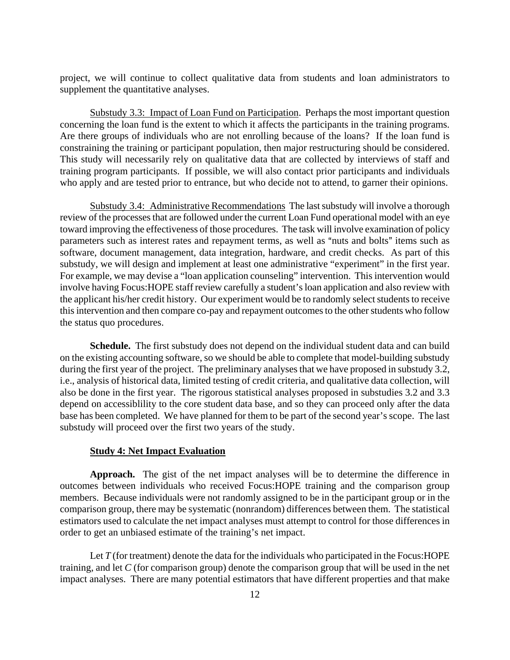project, we will continue to collect qualitative data from students and loan administrators to supplement the quantitative analyses.

 Substudy 3.3: Impact of Loan Fund on Participation. Perhaps the most important question concerning the loan fund is the extent to which it affects the participants in the training programs. Are there groups of individuals who are not enrolling because of the loans? If the loan fund is constraining the training or participant population, then major restructuring should be considered. This study will necessarily rely on qualitative data that are collected by interviews of staff and training program participants. If possible, we will also contact prior participants and individuals who apply and are tested prior to entrance, but who decide not to attend, to garner their opinions.

Substudy 3.4: Administrative Recommendations The last substudy will involve a thorough review of the processes that are followed under the current Loan Fund operational model with an eye toward improving the effectiveness of those procedures. The task will involve examination of policy parameters such as interest rates and repayment terms, as well as "nuts and bolts" items such as software, document management, data integration, hardware, and credit checks. As part of this substudy, we will design and implement at least one administrative "experiment" in the first year. For example, we may devise a "loan application counseling" intervention. This intervention would involve having Focus:HOPE staff review carefully a student's loan application and also review with the applicant his/her credit history. Our experiment would be to randomly select students to receive this intervention and then compare co-pay and repayment outcomes to the other students who follow the status quo procedures.

**Schedule.** The first substudy does not depend on the individual student data and can build on the existing accounting software, so we should be able to complete that model-building substudy during the first year of the project. The preliminary analyses that we have proposed in substudy 3.2, i.e., analysis of historical data, limited testing of credit criteria, and qualitative data collection, will also be done in the first year. The rigorous statistical analyses proposed in substudies 3.2 and 3.3 depend on accessiblility to the core student data base, and so they can proceed only after the data base has been completed. We have planned for them to be part of the second year's scope. The last substudy will proceed over the first two years of the study.

#### **Study 4: Net Impact Evaluation**

**Approach.** The gist of the net impact analyses will be to determine the difference in outcomes between individuals who received Focus:HOPE training and the comparison group members. Because individuals were not randomly assigned to be in the participant group or in the comparison group, there may be systematic (nonrandom) differences between them. The statistical estimators used to calculate the net impact analyses must attempt to control for those differences in order to get an unbiased estimate of the training's net impact.

Let *T* (for treatment) denote the data for the individuals who participated in the Focus: HOPE training, and let *C* (for comparison group) denote the comparison group that will be used in the net impact analyses. There are many potential estimators that have different properties and that make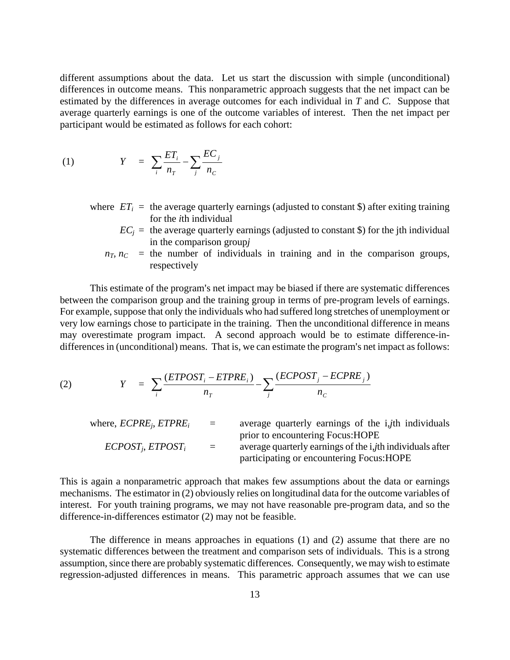different assumptions about the data. Let us start the discussion with simple (unconditional) differences in outcome means. This nonparametric approach suggests that the net impact can be estimated by the differences in average outcomes for each individual in *T* and *C.* Suppose that average quarterly earnings is one of the outcome variables of interest. Then the net impact per participant would be estimated as follows for each cohort:

$$
(1) \t Y = \sum_{i} \frac{ET_i}{n_T} - \sum_{j} \frac{EC_j}{n_C}
$$

- where  $ET_i$  = the average quarterly earnings (adjusted to constant \$) after exiting training for the *i*th individual
	- $EC_i$  = the average quarterly earnings (adjusted to constant \\$) for the jth individual in the comparison group*j*
	- $n<sub>T</sub>$ ,  $n<sub>C</sub>$  = the number of individuals in training and in the comparison groups, respectively

This estimate of the program's net impact may be biased if there are systematic differences between the comparison group and the training group in terms of pre-program levels of earnings. For example, suppose that only the individuals who had suffered long stretches of unemployment or very low earnings chose to participate in the training. Then the unconditional difference in means may overestimate program impact. A second approach would be to estimate difference-indifferences in (unconditional) means. That is, we can estimate the program's net impact as follows:

(2) 
$$
Y = \sum_{i} \frac{(ETPOST_i - ETPRE_i)}{n_T} - \sum_{j} \frac{(ECPOST_j - ECPRE_j)}{n_C}
$$

| where, $ECPRE_i$ , $ETPRE_i$ | $\equiv$ | average quarterly earnings of the <i>i</i> , <i>j</i> th individuals       |
|------------------------------|----------|----------------------------------------------------------------------------|
|                              |          | prior to encountering Focus: HOPE                                          |
| $ECPOST_i, ETPOST_i$         | $\equiv$ | average quarterly earnings of the <i>i</i> , <i>i</i> th individuals after |
|                              |          | participating or encountering Focus: HOPE                                  |

This is again a nonparametric approach that makes few assumptions about the data or earnings mechanisms. The estimator in (2) obviously relies on longitudinal data for the outcome variables of interest. For youth training programs, we may not have reasonable pre-program data, and so the difference-in-differences estimator (2) may not be feasible.

The difference in means approaches in equations (1) and (2) assume that there are no systematic differences between the treatment and comparison sets of individuals. This is a strong assumption, since there are probably systematic differences. Consequently, we may wish to estimate regression-adjusted differences in means. This parametric approach assumes that we can use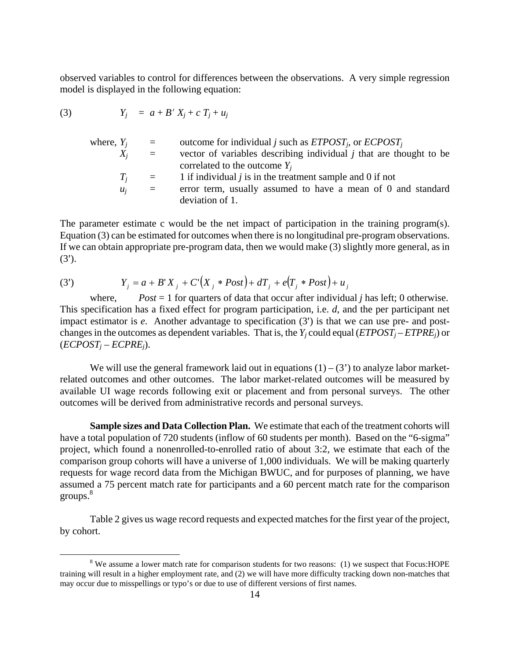observed variables to control for differences between the observations. A very simple regression model is displayed in the following equation:

(3) 
$$
Y_j = a + B' X_j + c T_j + u_j
$$

| where, $Y_i$ | $\equiv$ | outcome for individual j such as $ETPOST_i$ , or $ECPOST_i$          |
|--------------|----------|----------------------------------------------------------------------|
| $X_i$        | $\equiv$ | vector of variables describing individual $j$ that are thought to be |
|              |          | correlated to the outcome $Y_i$                                      |
| $T_i$        | $=$      | 1 if individual $j$ is in the treatment sample and 0 if not          |
| $u_i$        | $=$      | error term, usually assumed to have a mean of 0 and standard         |
|              |          | deviation of 1.                                                      |

The parameter estimate c would be the net impact of participation in the training program(s). Equation (3) can be estimated for outcomes when there is no longitudinal pre-program observations. If we can obtain appropriate pre-program data, then we would make (3) slightly more general, as in  $(3^{\prime})$ .

(3') 
$$
Y_j = a + B'X_j + C'\left(X_j * Post\right) + dT_j + e\left(T_j * Post\right) + u_j
$$

where, *Post* = 1 for quarters of data that occur after individual *j* has left; 0 otherwise. This specification has a fixed effect for program participation, i.e. *d*, and the per participant net impact estimator is *e*. Another advantage to specification (3') is that we can use pre- and postchanges in the outcomes as dependent variables. That is, the  $Y_i$  could equal ( $ETPOST_j - ETPRE_j$ ) or  $(ECPOST_i - ECPRE_i)$ .

We will use the general framework laid out in equations  $(1) - (3')$  to analyze labor marketrelated outcomes and other outcomes. The labor market-related outcomes will be measured by available UI wage records following exit or placement and from personal surveys. The other outcomes will be derived from administrative records and personal surveys.

**Sample sizes and Data Collection Plan.** We estimate that each of the treatment cohorts will have a total population of 720 students (inflow of 60 students per month). Based on the "6-sigma" project, which found a nonenrolled-to-enrolled ratio of about 3:2, we estimate that each of the comparison group cohorts will have a universe of 1,000 individuals. We will be making quarterly requests for wage record data from the Michigan BWUC, and for purposes of planning, we have assumed a 75 percent match rate for participants and a 60 percent match rate for the comparison groups.<sup>8</sup>

 Table 2 gives us wage record requests and expected matches for the first year of the project, by cohort.

 $\frac{1}{\sqrt{8}}$ <sup>8</sup> We assume a lower match rate for comparison students for two reasons: (1) we suspect that Focus: HOPE training will result in a higher employment rate, and (2) we will have more difficulty tracking down non-matches that may occur due to misspellings or typo's or due to use of different versions of first names.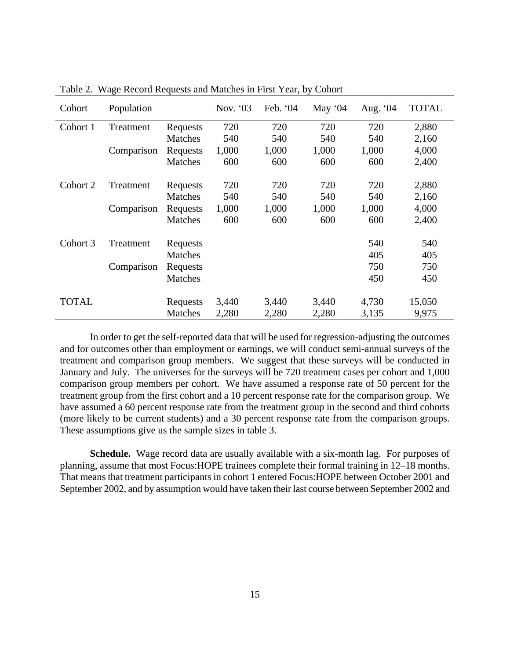| Cohort       | Population |                | Nov. $03$ | Feb. '04 | May $04$ | Aug. '04 | <b>TOTAL</b> |
|--------------|------------|----------------|-----------|----------|----------|----------|--------------|
| Cohort 1     | Treatment  | Requests       | 720       | 720      | 720      | 720      | 2,880        |
|              |            | <b>Matches</b> | 540       | 540      | 540      | 540      | 2,160        |
|              | Comparison | Requests       | 1,000     | 1,000    | 1,000    | 1,000    | 4,000        |
|              |            | <b>Matches</b> | 600       | 600      | 600      | 600      | 2,400        |
| Cohort 2     | Treatment  | Requests       | 720       | 720      | 720      | 720      | 2,880        |
|              |            | <b>Matches</b> | 540       | 540      | 540      | 540      | 2,160        |
|              | Comparison | Requests       | 1,000     | 1,000    | 1,000    | 1,000    | 4,000        |
|              |            | <b>Matches</b> | 600       | 600      | 600      | 600      | 2,400        |
| Cohort 3     | Treatment  | Requests       |           |          |          | 540      | 540          |
|              |            | <b>Matches</b> |           |          |          | 405      | 405          |
|              | Comparison | Requests       |           |          |          | 750      | 750          |
|              |            | <b>Matches</b> |           |          |          | 450      | 450          |
| <b>TOTAL</b> |            | Requests       | 3,440     | 3,440    | 3,440    | 4,730    | 15,050       |
|              |            | <b>Matches</b> | 2,280     | 2,280    | 2,280    | 3,135    | 9,975        |

Table 2. Wage Record Requests and Matches in First Year, by Cohort

 In order to get the self-reported data that will be used for regression-adjusting the outcomes and for outcomes other than employment or earnings, we will conduct semi-annual surveys of the treatment and comparison group members. We suggest that these surveys will be conducted in January and July. The universes for the surveys will be 720 treatment cases per cohort and 1,000 comparison group members per cohort. We have assumed a response rate of 50 percent for the treatment group from the first cohort and a 10 percent response rate for the comparison group. We have assumed a 60 percent response rate from the treatment group in the second and third cohorts (more likely to be current students) and a 30 percent response rate from the comparison groups. These assumptions give us the sample sizes in table 3.

**Schedule.** Wage record data are usually available with a six-month lag. For purposes of planning, assume that most Focus:HOPE trainees complete their formal training in 12–18 months. That means that treatment participants in cohort 1 entered Focus:HOPE between October 2001 and September 2002, and by assumption would have taken their last course between September 2002 and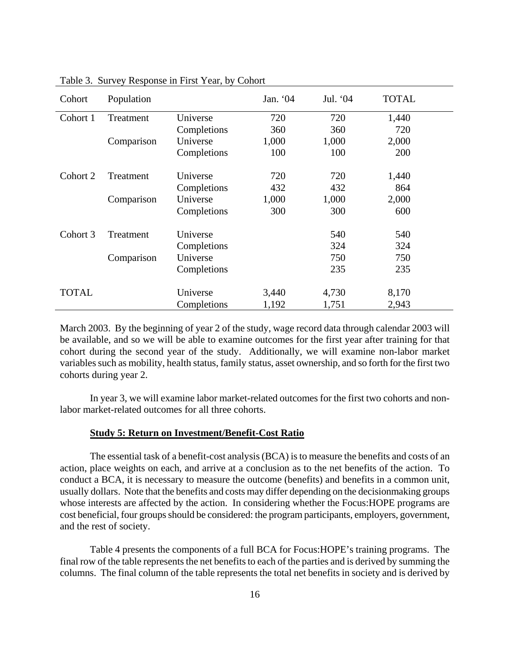| Cohort       | Population |             | Jan. '04 | Jul. '04 | <b>TOTAL</b> |  |
|--------------|------------|-------------|----------|----------|--------------|--|
| Cohort 1     | Treatment  | Universe    | 720      | 720      | 1,440        |  |
|              |            | Completions | 360      | 360      | 720          |  |
|              | Comparison | Universe    | 1,000    | 1,000    | 2,000        |  |
|              |            | Completions | 100      | 100      | 200          |  |
| Cohort 2     | Treatment  | Universe    | 720      | 720      | 1,440        |  |
|              |            | Completions | 432      | 432      | 864          |  |
|              | Comparison | Universe    | 1,000    | 1,000    | 2,000        |  |
|              |            | Completions | 300      | 300      | 600          |  |
| Cohort 3     | Treatment  | Universe    |          | 540      | 540          |  |
|              |            | Completions |          | 324      | 324          |  |
|              | Comparison | Universe    |          | 750      | 750          |  |
|              |            | Completions |          | 235      | 235          |  |
| <b>TOTAL</b> |            | Universe    | 3,440    | 4,730    | 8,170        |  |
|              |            | Completions | 1,192    | 1,751    | 2,943        |  |

Table 3. Survey Response in First Year, by Cohort

March 2003. By the beginning of year 2 of the study, wage record data through calendar 2003 will be available, and so we will be able to examine outcomes for the first year after training for that cohort during the second year of the study. Additionally, we will examine non-labor market variables such as mobility, health status, family status, asset ownership, and so forth for the first two cohorts during year 2.

In year 3, we will examine labor market-related outcomes for the first two cohorts and nonlabor market-related outcomes for all three cohorts.

#### **Study 5: Return on Investment/Benefit-Cost Ratio**

The essential task of a benefit-cost analysis (BCA) is to measure the benefits and costs of an action, place weights on each, and arrive at a conclusion as to the net benefits of the action. To conduct a BCA, it is necessary to measure the outcome (benefits) and benefits in a common unit, usually dollars. Note that the benefits and costs may differ depending on the decisionmaking groups whose interests are affected by the action. In considering whether the Focus: HOPE programs are cost beneficial, four groups should be considered: the program participants, employers, government, and the rest of society.

Table 4 presents the components of a full BCA for Focus:HOPE's training programs. The final row of the table represents the net benefits to each of the parties and is derived by summing the columns. The final column of the table represents the total net benefits in society and is derived by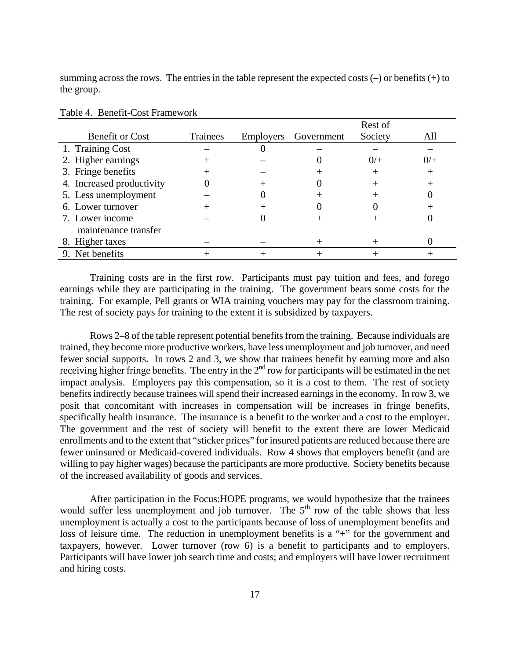summing across the rows. The entries in the table represent the expected costs  $(-)$  or benefits  $(+)$  to the group.

|                           |                 |           |            | Rest of |     |
|---------------------------|-----------------|-----------|------------|---------|-----|
| <b>Benefit or Cost</b>    | <b>Trainees</b> | Employers | Government | Society | All |
| 1. Training Cost          |                 |           |            |         |     |
| 2. Higher earnings        |                 |           |            | 0/      | 0/  |
| 3. Fringe benefits        |                 |           |            |         |     |
| 4. Increased productivity |                 |           |            |         |     |
| 5. Less unemployment      |                 |           |            |         |     |
| 6. Lower turnover         |                 |           |            |         |     |
| 7. Lower income           |                 |           |            |         |     |
| maintenance transfer      |                 |           |            |         |     |
| 8. Higher taxes           |                 |           |            |         |     |
| 9. Net benefits           |                 |           |            |         |     |

#### Table 4. Benefit-Cost Framework

Training costs are in the first row. Participants must pay tuition and fees, and forego earnings while they are participating in the training. The government bears some costs for the training. For example, Pell grants or WIA training vouchers may pay for the classroom training. The rest of society pays for training to the extent it is subsidized by taxpayers.

Rows 2–8 of the table represent potential benefits from the training. Because individuals are trained, they become more productive workers, have less unemployment and job turnover, and need fewer social supports. In rows 2 and 3, we show that trainees benefit by earning more and also receiving higher fringe benefits. The entry in the  $2<sup>nd</sup>$  row for participants will be estimated in the net impact analysis. Employers pay this compensation, so it is a cost to them. The rest of society benefits indirectly because trainees will spend their increased earnings in the economy. In row 3, we posit that concomitant with increases in compensation will be increases in fringe benefits, specifically health insurance. The insurance is a benefit to the worker and a cost to the employer. The government and the rest of society will benefit to the extent there are lower Medicaid enrollments and to the extent that "sticker prices" for insured patients are reduced because there are fewer uninsured or Medicaid-covered individuals. Row 4 shows that employers benefit (and are willing to pay higher wages) because the participants are more productive. Society benefits because of the increased availability of goods and services.

After participation in the Focus:HOPE programs, we would hypothesize that the trainees would suffer less unemployment and job turnover. The  $5<sup>th</sup>$  row of the table shows that less unemployment is actually a cost to the participants because of loss of unemployment benefits and loss of leisure time. The reduction in unemployment benefits is a "+" for the government and taxpayers, however. Lower turnover (row 6) is a benefit to participants and to employers. Participants will have lower job search time and costs; and employers will have lower recruitment and hiring costs.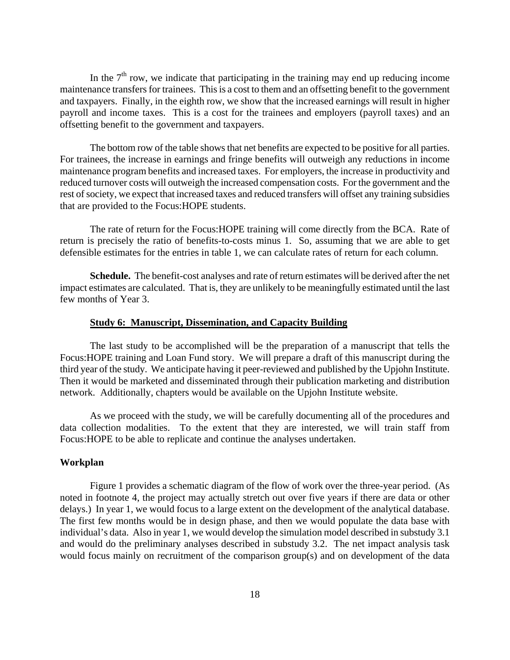In the  $7<sup>th</sup>$  row, we indicate that participating in the training may end up reducing income maintenance transfers for trainees. This is a cost to them and an offsetting benefit to the government and taxpayers. Finally, in the eighth row, we show that the increased earnings will result in higher payroll and income taxes. This is a cost for the trainees and employers (payroll taxes) and an offsetting benefit to the government and taxpayers.

The bottom row of the table shows that net benefits are expected to be positive for all parties. For trainees, the increase in earnings and fringe benefits will outweigh any reductions in income maintenance program benefits and increased taxes. For employers, the increase in productivity and reduced turnover costs will outweigh the increased compensation costs. For the government and the rest of society, we expect that increased taxes and reduced transfers will offset any training subsidies that are provided to the Focus:HOPE students.

The rate of return for the Focus:HOPE training will come directly from the BCA. Rate of return is precisely the ratio of benefits-to-costs minus 1. So, assuming that we are able to get defensible estimates for the entries in table 1, we can calculate rates of return for each column.

**Schedule.** The benefit-cost analyses and rate of return estimates will be derived after the net impact estimates are calculated. That is, they are unlikely to be meaningfully estimated until the last few months of Year 3.

#### **Study 6: Manuscript, Dissemination, and Capacity Building**

The last study to be accomplished will be the preparation of a manuscript that tells the Focus:HOPE training and Loan Fund story. We will prepare a draft of this manuscript during the third year of the study. We anticipate having it peer-reviewed and published by the Upjohn Institute. Then it would be marketed and disseminated through their publication marketing and distribution network. Additionally, chapters would be available on the Upjohn Institute website.

As we proceed with the study, we will be carefully documenting all of the procedures and data collection modalities. To the extent that they are interested, we will train staff from Focus:HOPE to be able to replicate and continue the analyses undertaken.

#### **Workplan**

 Figure 1 provides a schematic diagram of the flow of work over the three-year period. (As noted in footnote 4, the project may actually stretch out over five years if there are data or other delays.) In year 1, we would focus to a large extent on the development of the analytical database. The first few months would be in design phase, and then we would populate the data base with individual's data. Also in year 1, we would develop the simulation model described in substudy 3.1 and would do the preliminary analyses described in substudy 3.2. The net impact analysis task would focus mainly on recruitment of the comparison group(s) and on development of the data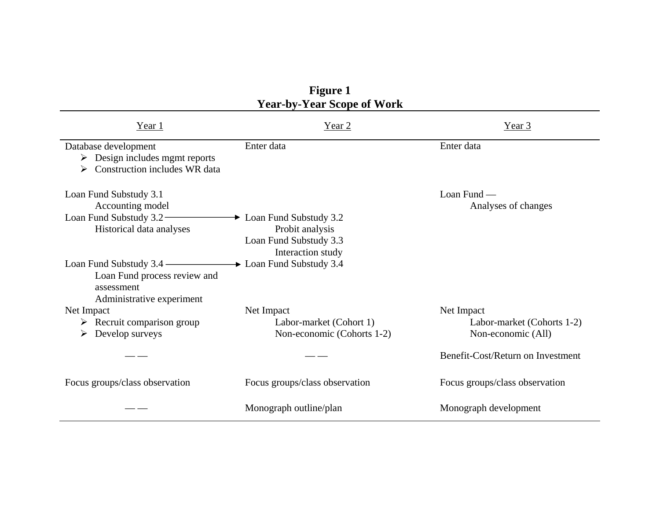|                                                                                                                         | <b>Year-by-Year Scope of Work</b>                                                                      |                                                                |
|-------------------------------------------------------------------------------------------------------------------------|--------------------------------------------------------------------------------------------------------|----------------------------------------------------------------|
| Year 1                                                                                                                  | Year $2$                                                                                               | Year 3                                                         |
| Database development<br>$\triangleright$ Design includes mgmt reports<br>$\triangleright$ Construction includes WR data | Enter data                                                                                             | Enter data                                                     |
| Loan Fund Substudy 3.1<br>Accounting model<br>Loan Fund Substudy 3.2<br>Historical data analyses                        | $\rightarrow$ Loan Fund Substudy 3.2<br>Probit analysis<br>Loan Fund Substudy 3.3<br>Interaction study | Loan Fund —<br>Analyses of changes                             |
| Loan Fund Substudy 3.4 –<br>Loan Fund process review and<br>assessment<br>Administrative experiment                     | $\rightarrow$ Loan Fund Substudy 3.4                                                                   |                                                                |
| Net Impact<br>$\triangleright$ Recruit comparison group<br>Develop surveys<br>➤                                         | Net Impact<br>Labor-market (Cohort 1)<br>Non-economic (Cohorts 1-2)                                    | Net Impact<br>Labor-market (Cohorts 1-2)<br>Non-economic (All) |
|                                                                                                                         |                                                                                                        | Benefit-Cost/Return on Investment                              |
| Focus groups/class observation                                                                                          | Focus groups/class observation                                                                         | Focus groups/class observation                                 |
|                                                                                                                         | Monograph outline/plan                                                                                 | Monograph development                                          |

| <b>Figure 1</b>                   |
|-----------------------------------|
| <b>Year-by-Year Scope of Work</b> |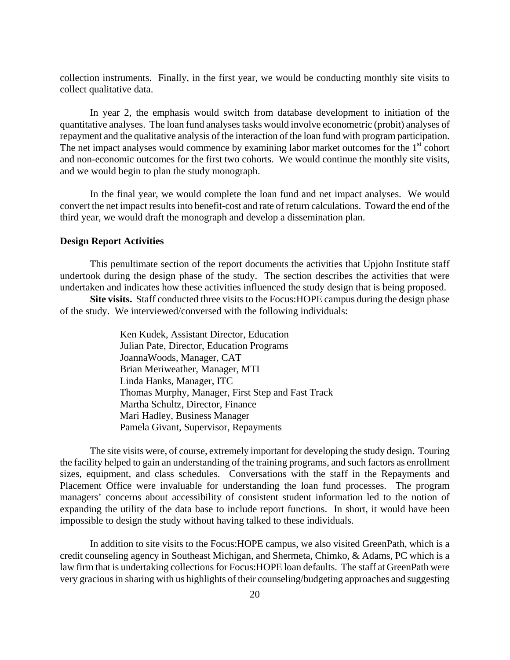collection instruments. Finally, in the first year, we would be conducting monthly site visits to collect qualitative data.

 In year 2, the emphasis would switch from database development to initiation of the quantitative analyses. The loan fund analyses tasks would involve econometric (probit) analyses of repayment and the qualitative analysis of the interaction of the loan fund with program participation. The net impact analyses would commence by examining labor market outcomes for the  $1<sup>st</sup>$  cohort and non-economic outcomes for the first two cohorts. We would continue the monthly site visits, and we would begin to plan the study monograph.

 In the final year, we would complete the loan fund and net impact analyses. We would convert the net impact results into benefit-cost and rate of return calculations. Toward the end of the third year, we would draft the monograph and develop a dissemination plan.

#### **Design Report Activities**

 This penultimate section of the report documents the activities that Upjohn Institute staff undertook during the design phase of the study. The section describes the activities that were undertaken and indicates how these activities influenced the study design that is being proposed.

**Site visits.** Staff conducted three visits to the Focus:HOPE campus during the design phase of the study. We interviewed/conversed with the following individuals:

> Ken Kudek, Assistant Director, Education Julian Pate, Director, Education Programs JoannaWoods, Manager, CAT Brian Meriweather, Manager, MTI Linda Hanks, Manager, ITC Thomas Murphy, Manager, First Step and Fast Track Martha Schultz, Director, Finance Mari Hadley, Business Manager Pamela Givant, Supervisor, Repayments

The site visits were, of course, extremely important for developing the study design. Touring the facility helped to gain an understanding of the training programs, and such factors as enrollment sizes, equipment, and class schedules. Conversations with the staff in the Repayments and Placement Office were invaluable for understanding the loan fund processes. The program managers' concerns about accessibility of consistent student information led to the notion of expanding the utility of the data base to include report functions. In short, it would have been impossible to design the study without having talked to these individuals.

 In addition to site visits to the Focus:HOPE campus, we also visited GreenPath, which is a credit counseling agency in Southeast Michigan, and Shermeta, Chimko, & Adams, PC which is a law firm that is undertaking collections for Focus:HOPE loan defaults. The staff at GreenPath were very gracious in sharing with us highlights of their counseling/budgeting approaches and suggesting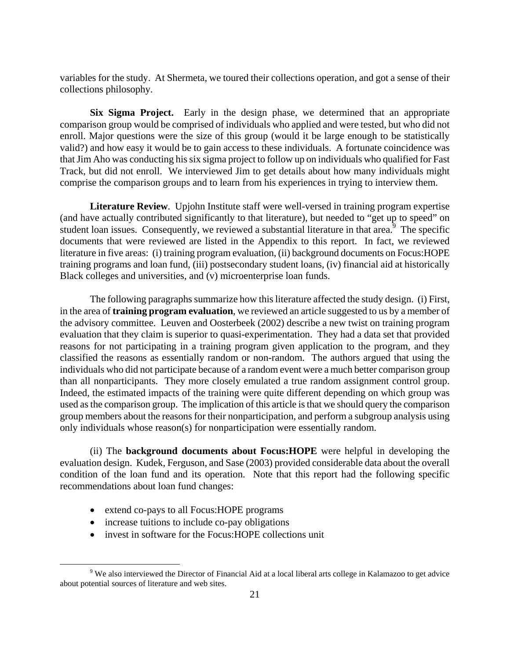variables for the study. At Shermeta, we toured their collections operation, and got a sense of their collections philosophy.

**Six Sigma Project.** Early in the design phase, we determined that an appropriate comparison group would be comprised of individuals who applied and were tested, but who did not enroll. Major questions were the size of this group (would it be large enough to be statistically valid?) and how easy it would be to gain access to these individuals. A fortunate coincidence was that Jim Aho was conducting his six sigma project to follow up on individuals who qualified for Fast Track, but did not enroll. We interviewed Jim to get details about how many individuals might comprise the comparison groups and to learn from his experiences in trying to interview them.

**Literature Review**. Upjohn Institute staff were well-versed in training program expertise (and have actually contributed significantly to that literature), but needed to "get up to speed" on student loan issues. Consequently, we reviewed a substantial literature in that area. $\frac{3}{2}$  The specific documents that were reviewed are listed in the Appendix to this report. In fact, we reviewed literature in five areas: (i) training program evaluation, (ii) background documents on Focus:HOPE training programs and loan fund, (iii) postsecondary student loans, (iv) financial aid at historically Black colleges and universities, and (v) microenterprise loan funds.

 The following paragraphs summarize how this literature affected the study design. (i) First, in the area of **training program evaluation**, we reviewed an article suggested to us by a member of the advisory committee. Leuven and Oosterbeek (2002) describe a new twist on training program evaluation that they claim is superior to quasi-experimentation. They had a data set that provided reasons for not participating in a training program given application to the program, and they classified the reasons as essentially random or non-random. The authors argued that using the individuals who did not participate because of a random event were a much better comparison group than all nonparticipants. They more closely emulated a true random assignment control group. Indeed, the estimated impacts of the training were quite different depending on which group was used as the comparison group. The implication of this article is that we should query the comparison group members about the reasons for their nonparticipation, and perform a subgroup analysis using only individuals whose reason(s) for nonparticipation were essentially random.

 (ii) The **background documents about Focus:HOPE** were helpful in developing the evaluation design. Kudek, Ferguson, and Sase (2003) provided considerable data about the overall condition of the loan fund and its operation. Note that this report had the following specific recommendations about loan fund changes:

- extend co-pays to all Focus: HOPE programs
- increase tuitions to include co-pay obligations
- invest in software for the Focus:HOPE collections unit

 $\frac{1}{\sqrt{9}}$ <sup>9</sup> We also interviewed the Director of Financial Aid at a local liberal arts college in Kalamazoo to get advice about potential sources of literature and web sites.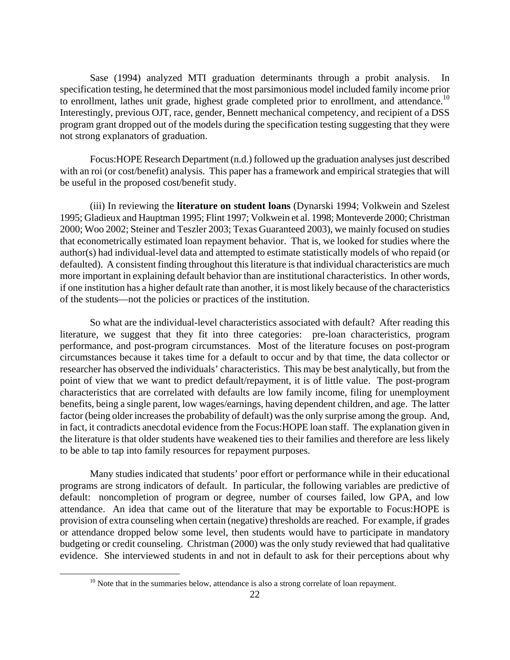Sase (1994) analyzed MTI graduation determinants through a probit analysis. In specification testing, he determined that the most parsimonious model included family income prior to enrollment, lathes unit grade, highest grade completed prior to enrollment, and attendance.<sup>10</sup> Interestingly, previous OJT, race, gender, Bennett mechanical competency, and recipient of a DSS program grant dropped out of the models during the specification testing suggesting that they were not strong explanators of graduation.

 Focus:HOPE Research Department (n.d.) followed up the graduation analyses just described with an roi (or cost/benefit) analysis. This paper has a framework and empirical strategies that will be useful in the proposed cost/benefit study.

 (iii) In reviewing the **literature on student loans** (Dynarski 1994; Volkwein and Szelest 1995; Gladieux and Hauptman 1995; Flint 1997; Volkwein et al. 1998; Monteverde 2000; Christman 2000; Woo 2002; Steiner and Teszler 2003; Texas Guaranteed 2003), we mainly focused on studies that econometrically estimated loan repayment behavior. That is, we looked for studies where the author(s) had individual-level data and attempted to estimate statistically models of who repaid (or defaulted). A consistent finding throughout this literature is that individual characteristics are much more important in explaining default behavior than are institutional characteristics. In other words, if one institution has a higher default rate than another, it is most likely because of the characteristics of the students—not the policies or practices of the institution.

 So what are the individual-level characteristics associated with default? After reading this literature, we suggest that they fit into three categories: pre-loan characteristics, program performance, and post-program circumstances. Most of the literature focuses on post-program circumstances because it takes time for a default to occur and by that time, the data collector or researcher has observed the individuals' characteristics. This may be best analytically, but from the point of view that we want to predict default/repayment, it is of little value. The post-program characteristics that are correlated with defaults are low family income, filing for unemployment benefits, being a single parent, low wages/earnings, having dependent children, and age. The latter factor (being older increases the probability of default) was the only surprise among the group. And, in fact, it contradicts anecdotal evidence from the Focus:HOPE loan staff. The explanation given in the literature is that older students have weakened ties to their families and therefore are less likely to be able to tap into family resources for repayment purposes.

 Many studies indicated that students' poor effort or performance while in their educational programs are strong indicators of default. In particular, the following variables are predictive of default: noncompletion of program or degree, number of courses failed, low GPA, and low attendance. An idea that came out of the literature that may be exportable to Focus:HOPE is provision of extra counseling when certain (negative) thresholds are reached. For example, if grades or attendance dropped below some level, then students would have to participate in mandatory budgeting or credit counseling. Christman (2000) was the only study reviewed that had qualitative evidence. She interviewed students in and not in default to ask for their perceptions about why

 $10$  Note that in the summaries below, attendance is also a strong correlate of loan repayment.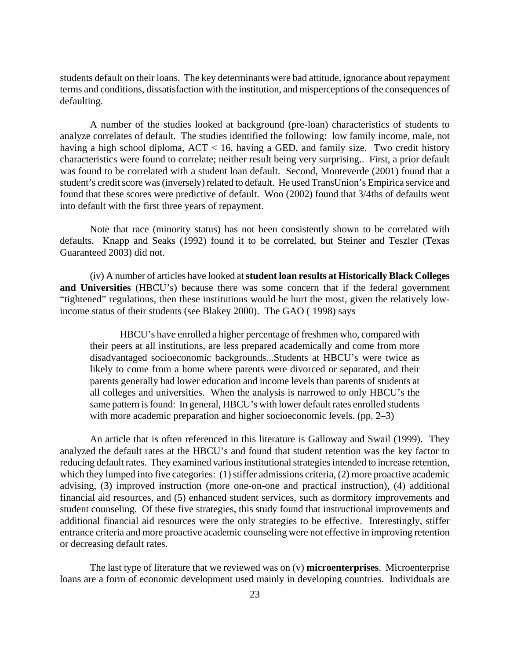students default on their loans. The key determinants were bad attitude, ignorance about repayment terms and conditions, dissatisfaction with the institution, and misperceptions of the consequences of defaulting.

 A number of the studies looked at background (pre-loan) characteristics of students to analyze correlates of default. The studies identified the following: low family income, male, not having a high school diploma, ACT < 16, having a GED, and family size. Two credit history characteristics were found to correlate; neither result being very surprising.. First, a prior default was found to be correlated with a student loan default. Second, Monteverde (2001) found that a student's credit score was (inversely) related to default. He used TransUnion's Empirica service and found that these scores were predictive of default. Woo (2002) found that 3/4ths of defaults went into default with the first three years of repayment.

 Note that race (minority status) has not been consistently shown to be correlated with defaults. Knapp and Seaks (1992) found it to be correlated, but Steiner and Teszler (Texas Guaranteed 2003) did not.

 (iv) A number of articles have looked at **student loan results at Historically Black Colleges and Universities** (HBCU's) because there was some concern that if the federal government "tightened" regulations, then these institutions would be hurt the most, given the relatively lowincome status of their students (see Blakey 2000). The GAO ( 1998) says

HBCU's have enrolled a higher percentage of freshmen who, compared with their peers at all institutions, are less prepared academically and come from more disadvantaged socioeconomic backgrounds...Students at HBCU's were twice as likely to come from a home where parents were divorced or separated, and their parents generally had lower education and income levels than parents of students at all colleges and universities. When the analysis is narrowed to only HBCU's the same pattern is found: In general, HBCU's with lower default rates enrolled students with more academic preparation and higher socioeconomic levels. (pp. 2–3)

An article that is often referenced in this literature is Galloway and Swail (1999). They analyzed the default rates at the HBCU's and found that student retention was the key factor to reducing default rates. They examined various institutional strategies intended to increase retention, which they lumped into five categories: (1) stiffer admissions criteria, (2) more proactive academic advising, (3) improved instruction (more one-on-one and practical instruction), (4) additional financial aid resources, and (5) enhanced student services, such as dormitory improvements and student counseling. Of these five strategies, this study found that instructional improvements and additional financial aid resources were the only strategies to be effective. Interestingly, stiffer entrance criteria and more proactive academic counseling were not effective in improving retention or decreasing default rates.

 The last type of literature that we reviewed was on (v) **microenterprises**. Microenterprise loans are a form of economic development used mainly in developing countries. Individuals are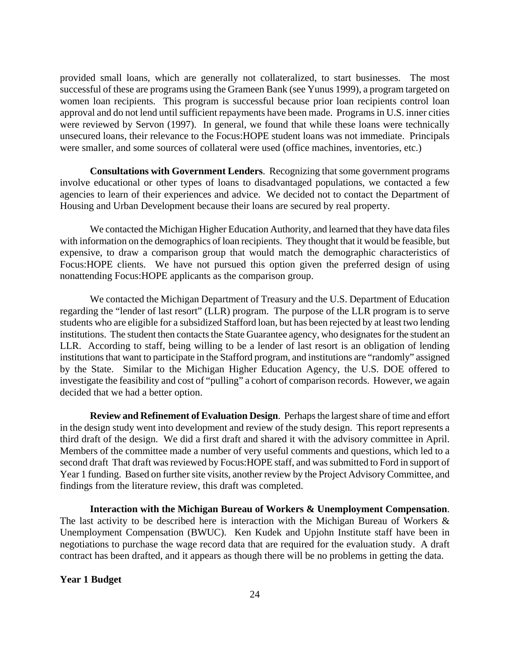provided small loans, which are generally not collateralized, to start businesses. The most successful of these are programs using the Grameen Bank (see Yunus 1999), a program targeted on women loan recipients. This program is successful because prior loan recipients control loan approval and do not lend until sufficient repayments have been made. Programs in U.S. inner cities were reviewed by Servon (1997). In general, we found that while these loans were technically unsecured loans, their relevance to the Focus:HOPE student loans was not immediate. Principals were smaller, and some sources of collateral were used (office machines, inventories, etc.)

**Consultations with Government Lenders**. Recognizing that some government programs involve educational or other types of loans to disadvantaged populations, we contacted a few agencies to learn of their experiences and advice. We decided not to contact the Department of Housing and Urban Development because their loans are secured by real property.

 We contacted the Michigan Higher Education Authority, and learned that they have data files with information on the demographics of loan recipients. They thought that it would be feasible, but expensive, to draw a comparison group that would match the demographic characteristics of Focus:HOPE clients. We have not pursued this option given the preferred design of using nonattending Focus:HOPE applicants as the comparison group.

 We contacted the Michigan Department of Treasury and the U.S. Department of Education regarding the "lender of last resort" (LLR) program. The purpose of the LLR program is to serve students who are eligible for a subsidized Stafford loan, but has been rejected by at least two lending institutions. The student then contacts the State Guarantee agency, who designates for the student an LLR. According to staff, being willing to be a lender of last resort is an obligation of lending institutions that want to participate in the Stafford program, and institutions are "randomly" assigned by the State. Similar to the Michigan Higher Education Agency, the U.S. DOE offered to investigate the feasibility and cost of "pulling" a cohort of comparison records. However, we again decided that we had a better option.

 **Review and Refinement of Evaluation Design**. Perhaps the largest share of time and effort in the design study went into development and review of the study design. This report represents a third draft of the design. We did a first draft and shared it with the advisory committee in April. Members of the committee made a number of very useful comments and questions, which led to a second draft That draft was reviewed by Focus:HOPE staff, and was submitted to Ford in support of Year 1 funding. Based on further site visits, another review by the Project Advisory Committee, and findings from the literature review, this draft was completed.

**Interaction with the Michigan Bureau of Workers & Unemployment Compensation**. The last activity to be described here is interaction with the Michigan Bureau of Workers  $\&$ Unemployment Compensation (BWUC). Ken Kudek and Upjohn Institute staff have been in negotiations to purchase the wage record data that are required for the evaluation study. A draft contract has been drafted, and it appears as though there will be no problems in getting the data.

#### **Year 1 Budget**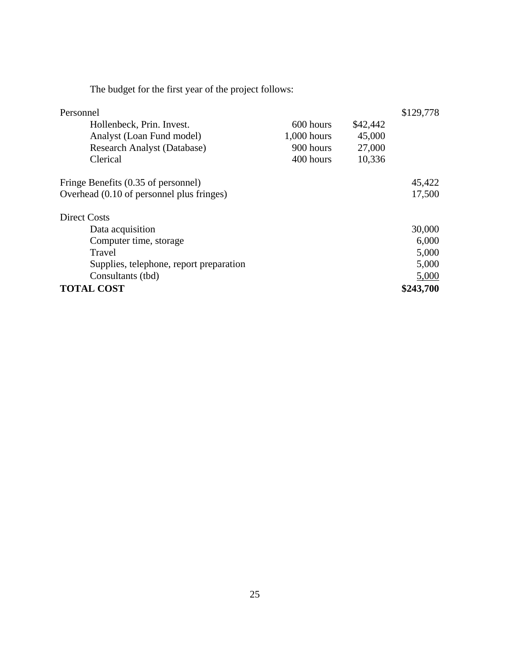The budget for the first year of the project follows:

| Personnel                                 |               |          | \$129,778 |
|-------------------------------------------|---------------|----------|-----------|
| Hollenbeck, Prin. Invest.                 | 600 hours     | \$42,442 |           |
| Analyst (Loan Fund model)                 | $1,000$ hours | 45,000   |           |
| <b>Research Analyst (Database)</b>        | 900 hours     | 27,000   |           |
| Clerical                                  | 400 hours     | 10,336   |           |
| Fringe Benefits (0.35 of personnel)       |               |          | 45,422    |
| Overhead (0.10 of personnel plus fringes) |               |          | 17,500    |
| <b>Direct Costs</b>                       |               |          |           |
| Data acquisition                          |               |          | 30,000    |
| Computer time, storage                    |               |          | 6,000     |
| Travel                                    |               |          | 5,000     |
| Supplies, telephone, report preparation   |               |          | 5,000     |
| Consultants (tbd)                         |               |          | 5,000     |
| <b>TOTAL COST</b>                         |               |          | \$243,700 |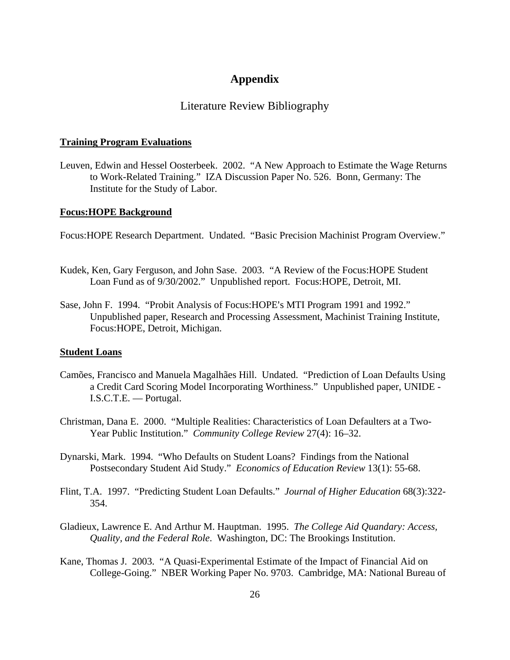# **Appendix**

### Literature Review Bibliography

#### **Training Program Evaluations**

Leuven, Edwin and Hessel Oosterbeek. 2002. "A New Approach to Estimate the Wage Returns to Work-Related Training." IZA Discussion Paper No. 526. Bonn, Germany: The Institute for the Study of Labor.

#### **Focus:HOPE Background**

Focus:HOPE Research Department. Undated. "Basic Precision Machinist Program Overview."

- Kudek, Ken, Gary Ferguson, and John Sase. 2003. "A Review of the Focus:HOPE Student Loan Fund as of 9/30/2002." Unpublished report. Focus:HOPE, Detroit, MI.
- Sase, John F. 1994. "Probit Analysis of Focus: HOPE's MTI Program 1991 and 1992." Unpublished paper, Research and Processing Assessment, Machinist Training Institute, Focus:HOPE, Detroit, Michigan.

#### **Student Loans**

- Camões, Francisco and Manuela Magalhães Hill. Undated. "Prediction of Loan Defaults Using a Credit Card Scoring Model Incorporating Worthiness." Unpublished paper, UNIDE - I.S.C.T.E. — Portugal.
- Christman, Dana E. 2000. "Multiple Realities: Characteristics of Loan Defaulters at a Two-Year Public Institution." *Community College Review* 27(4): 16–32.
- Dynarski, Mark. 1994. "Who Defaults on Student Loans? Findings from the National Postsecondary Student Aid Study." *Economics of Education Review* 13(1): 55-68.
- Flint, T.A. 1997. "Predicting Student Loan Defaults." *Journal of Higher Education* 68(3):322- 354.
- Gladieux, Lawrence E. And Arthur M. Hauptman. 1995. *The College Aid Quandary: Access, Quality, and the Federal Role*. Washington, DC: The Brookings Institution.
- Kane, Thomas J. 2003. "A Quasi-Experimental Estimate of the Impact of Financial Aid on College-Going." NBER Working Paper No. 9703. Cambridge, MA: National Bureau of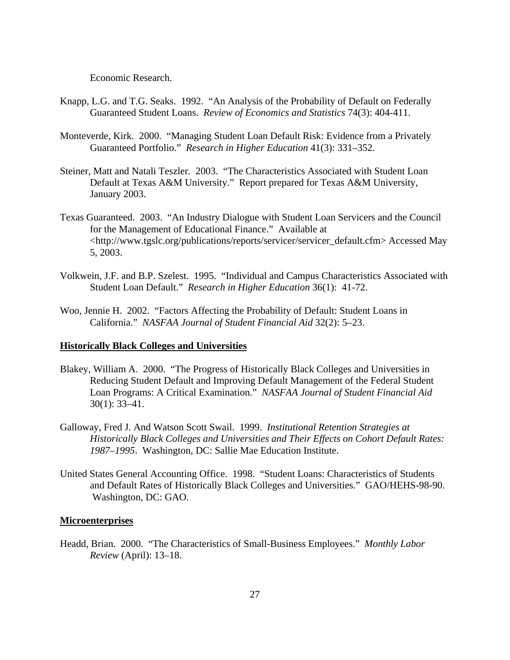Economic Research.

- Knapp, L.G. and T.G. Seaks. 1992. "An Analysis of the Probability of Default on Federally Guaranteed Student Loans. *Review of Economics and Statistics* 74(3): 404-411.
- Monteverde, Kirk. 2000. "Managing Student Loan Default Risk: Evidence from a Privately Guaranteed Portfolio." *Research in Higher Education* 41(3): 331–352.
- Steiner, Matt and Natali Teszler. 2003. "The Characteristics Associated with Student Loan Default at Texas A&M University." Report prepared for Texas A&M University, January 2003.
- Texas Guaranteed. 2003. "An Industry Dialogue with Student Loan Servicers and the Council for the Management of Educational Finance." Available at <http://www.tgslc.org/publications/reports/servicer/servicer\_default.cfm> Accessed May 5, 2003.
- Volkwein, J.F. and B.P. Szelest. 1995. "Individual and Campus Characteristics Associated with Student Loan Default." *Research in Higher Education* 36(1): 41-72.
- Woo, Jennie H. 2002. "Factors Affecting the Probability of Default: Student Loans in California." *NASFAA Journal of Student Financial Aid* 32(2): 5–23.

#### **Historically Black Colleges and Universities**

- Blakey, William A. 2000. "The Progress of Historically Black Colleges and Universities in Reducing Student Default and Improving Default Management of the Federal Student Loan Programs: A Critical Examination." *NASFAA Journal of Student Financial Aid* 30(1): 33–41.
- Galloway, Fred J. And Watson Scott Swail. 1999. *Institutional Retention Strategies at Historically Black Colleges and Universities and Their Effects on Cohort Default Rates: 1987–1995*. Washington, DC: Sallie Mae Education Institute.
- United States General Accounting Office. 1998. "Student Loans: Characteristics of Students and Default Rates of Historically Black Colleges and Universities." GAO/HEHS-98-90. Washington, DC: GAO.

#### **Microenterprises**

Headd, Brian. 2000. "The Characteristics of Small-Business Employees." *Monthly Labor Review* (April): 13–18.